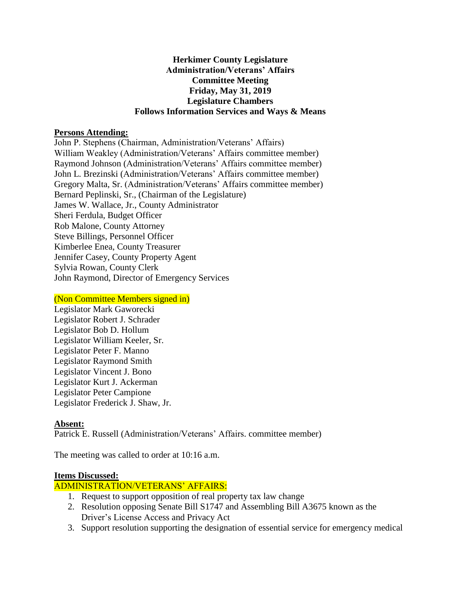# **Herkimer County Legislature Administration/Veterans' Affairs Committee Meeting Friday, May 31, 2019 Legislature Chambers Follows Information Services and Ways & Means**

## **Persons Attending:**

John P. Stephens (Chairman, Administration/Veterans' Affairs) William Weakley (Administration/Veterans' Affairs committee member) Raymond Johnson (Administration/Veterans' Affairs committee member) John L. Brezinski (Administration/Veterans' Affairs committee member) Gregory Malta, Sr. (Administration/Veterans' Affairs committee member) Bernard Peplinski, Sr., (Chairman of the Legislature) James W. Wallace, Jr., County Administrator Sheri Ferdula, Budget Officer Rob Malone, County Attorney Steve Billings, Personnel Officer Kimberlee Enea, County Treasurer Jennifer Casey, County Property Agent Sylvia Rowan, County Clerk John Raymond, Director of Emergency Services

#### (Non Committee Members signed in)

Legislator Mark Gaworecki Legislator Robert J. Schrader Legislator Bob D. Hollum Legislator William Keeler, Sr. Legislator Peter F. Manno Legislator Raymond Smith Legislator Vincent J. Bono Legislator Kurt J. Ackerman Legislator Peter Campione Legislator Frederick J. Shaw, Jr.

### **Absent:**

Patrick E. Russell (Administration/Veterans' Affairs. committee member)

The meeting was called to order at 10:16 a.m.

#### **Items Discussed:**

### ADMINISTRATION/VETERANS' AFFAIRS:

- 1. Request to support opposition of real property tax law change
- 2. Resolution opposing Senate Bill S1747 and Assembling Bill A3675 known as the Driver's License Access and Privacy Act
- 3. Support resolution supporting the designation of essential service for emergency medical